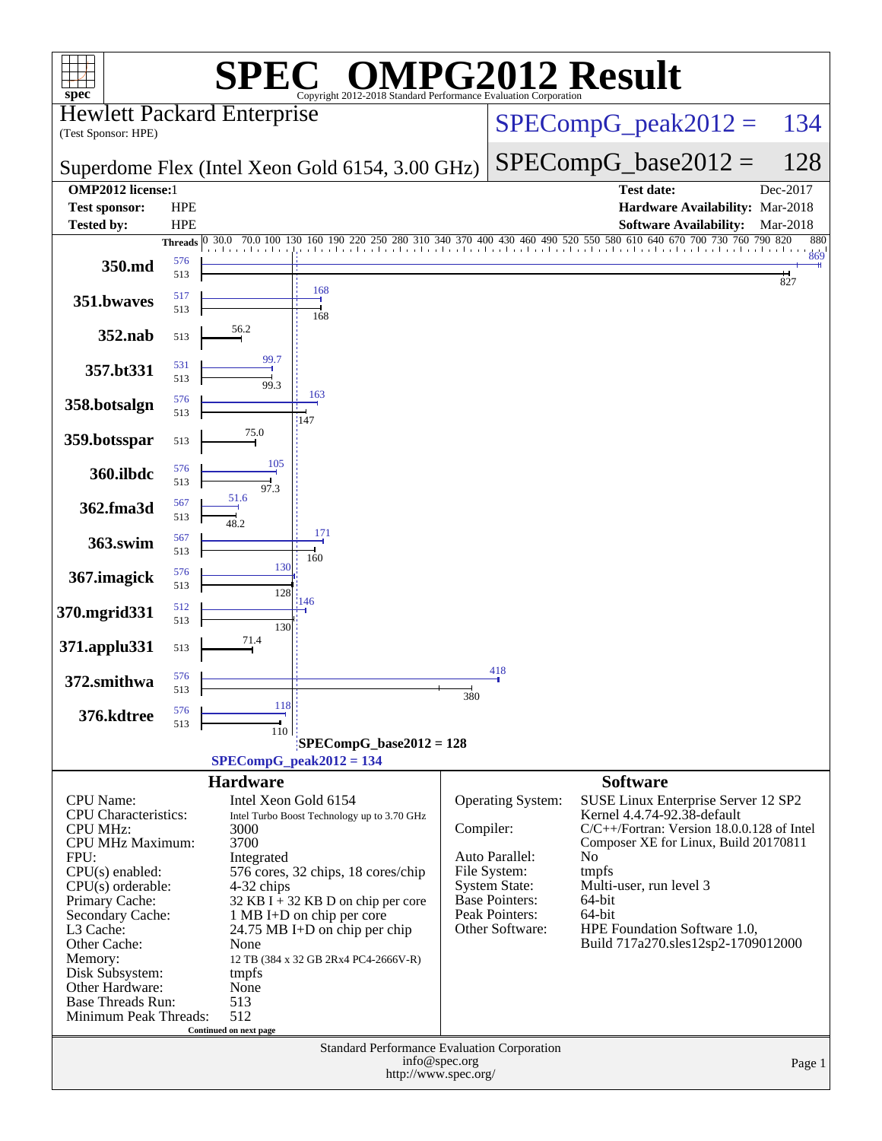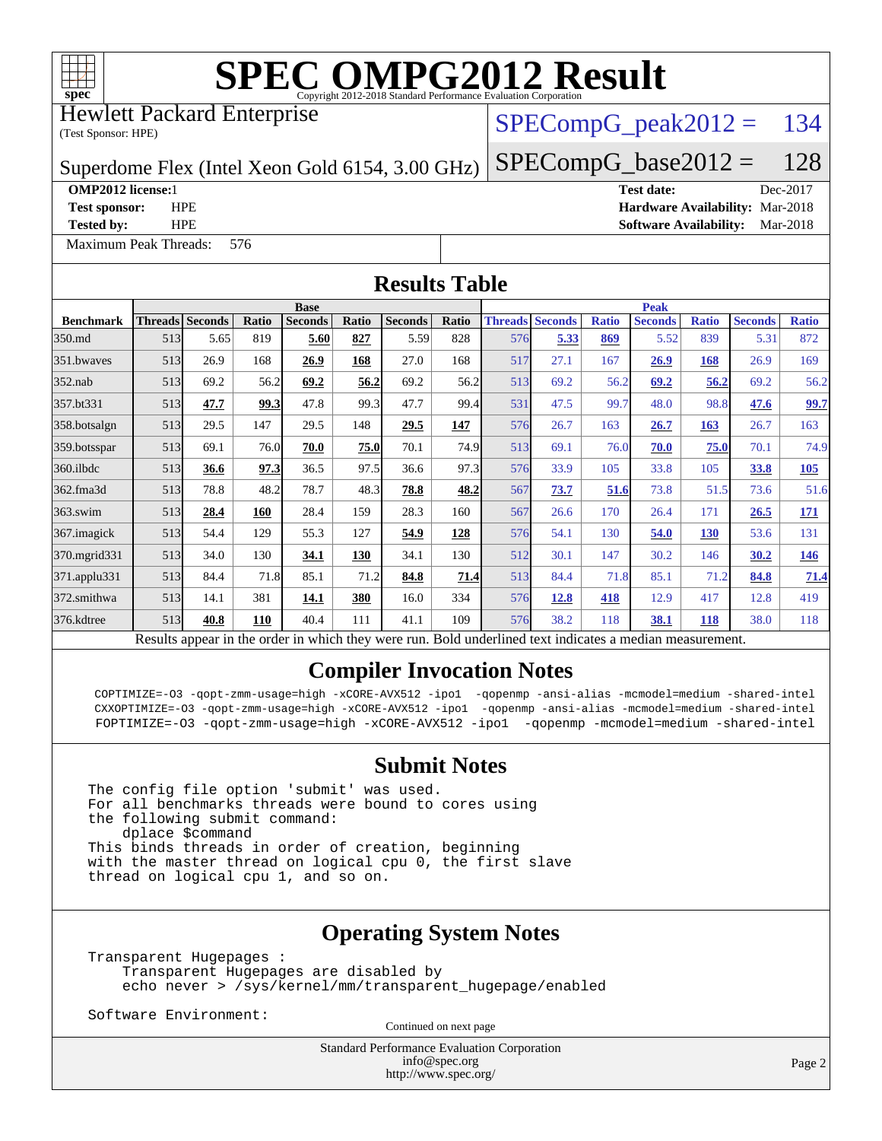

Hewlett Packard Enterprise

(Test Sponsor: HPE)

## $SPECompG_peak2012 = 134$  $SPECompG_peak2012 = 134$

Superdome Flex (Intel Xeon Gold 6154, 3.00 GHz)

[Maximum Peak Threads:](http://www.spec.org/auto/omp2012/Docs/result-fields.html#MaximumPeakThreads) 576

 $SPECompG_base2012 = 128$  $SPECompG_base2012 = 128$ **[OMP2012 license:](http://www.spec.org/auto/omp2012/Docs/result-fields.html#OMP2012license)**1 **[Test date:](http://www.spec.org/auto/omp2012/Docs/result-fields.html#Testdate)** Dec-2017 **[Test sponsor:](http://www.spec.org/auto/omp2012/Docs/result-fields.html#Testsponsor)** HPE **[Hardware Availability:](http://www.spec.org/auto/omp2012/Docs/result-fields.html#HardwareAvailability)** Mar-2018

**[Tested by:](http://www.spec.org/auto/omp2012/Docs/result-fields.html#Testedby)** HPE **[Software Availability:](http://www.spec.org/auto/omp2012/Docs/result-fields.html#SoftwareAvailability)** Mar-2018

| <b>Results Table</b> |             |                        |       |                |       |                                                                                                          |       |             |                        |              |                |              |                |              |
|----------------------|-------------|------------------------|-------|----------------|-------|----------------------------------------------------------------------------------------------------------|-------|-------------|------------------------|--------------|----------------|--------------|----------------|--------------|
|                      | <b>Base</b> |                        |       |                |       |                                                                                                          |       | <b>Peak</b> |                        |              |                |              |                |              |
| <b>Benchmark</b>     |             | <b>Threads Seconds</b> | Ratio | <b>Seconds</b> | Ratio | <b>Seconds</b>                                                                                           | Ratio |             | <b>Threads Seconds</b> | <b>Ratio</b> | <b>Seconds</b> | <b>Ratio</b> | <b>Seconds</b> | <b>Ratio</b> |
| 350.md               | 513         | 5.65                   | 819   | 5.60           | 827   | 5.59                                                                                                     | 828   | 576         | 5.33                   | 869          | 5.52           | 839          | 5.31           | 872          |
| 351.bwaves           | 513         | 26.9                   | 168   | 26.9           | 168   | 27.0                                                                                                     | 168   | 517         | 27.1                   | 167          | 26.9           | 168          | 26.9           | 169          |
| $352$ .nab           | 513         | 69.2                   | 56.2  | 69.2           | 56.2  | 69.2                                                                                                     | 56.2  | 513         | 69.2                   | 56.2         | 69.2           | 56.2         | 69.2           | 56.2         |
| 357.bt331            | 513         | 47.7                   | 99.3  | 47.8           | 99.3  | 47.7                                                                                                     | 99.4  | 531         | 47.5                   | 99.7         | 48.0           | 98.8         | 47.6           | 99.7         |
| 358.botsalgn         | 513         | 29.5                   | 147   | 29.5           | 148   | 29.5                                                                                                     | 147   | 576         | 26.7                   | 163          | 26.7           | 163          | 26.7           | 163          |
| 359.botsspar         | 513         | 69.1                   | 76.0  | 70.0           | 75.0  | 70.1                                                                                                     | 74.9  | 513         | 69.1                   | 76.0         | 70.0           | 75.0         | 70.1           | 74.9         |
| $360$ .ilbdc         | 513         | 36.6                   | 97.3  | 36.5           | 97.5  | 36.6                                                                                                     | 97.3  | 576         | 33.9                   | 105          | 33.8           | 105          | 33.8           | 105          |
| 362.fma3d            | 513         | 78.8                   | 48.2  | 78.7           | 48.3  | 78.8                                                                                                     | 48.2  | 567         | 73.7                   | 51.6         | 73.8           | 51.5         | 73.6           | 51.6         |
| $363$ .swim          | 513         | 28.4                   | 160   | 28.4           | 159   | 28.3                                                                                                     | 160   | 567         | 26.6                   | 170          | 26.4           | 171          | 26.5           | <b>171</b>   |
| $367$ .imagick       | 513         | 54.4                   | 129   | 55.3           | 127   | 54.9                                                                                                     | 128   | 576         | 54.1                   | 130          | 54.0           | 130          | 53.6           | 131          |
| 370.mgrid331         | 513         | 34.0                   | 130   | 34.1           | 130   | 34.1                                                                                                     | 130   | 512         | 30.1                   | 147          | 30.2           | 146          | 30.2           | <u>146</u>   |
| $371$ .applu $331$   | 513         | 84.4                   | 71.8  | 85.1           | 71.2  | 84.8                                                                                                     | 71.4  | 513         | 84.4                   | 71.8         | 85.1           | 71.2         | 84.8           | 71.4         |
| 372.smithwa          | 513         | 14.1                   | 381   | 14.1           | 380   | 16.0                                                                                                     | 334   | 576         | 12.8                   | 418          | 12.9           | 417          | 12.8           | 419          |
| 376.kdtree           | 513         | 40.8                   | 110   | 40.4           | 111   | 41.1                                                                                                     | 109   | 576         | 38.2                   | 118          | 38.1           | <b>118</b>   | 38.0           | 118          |
|                      |             |                        |       |                |       | Results appear in the order in which they were run. Bold underlined text indicates a median measurement. |       |             |                        |              |                |              |                |              |

#### **[Compiler Invocation Notes](http://www.spec.org/auto/omp2012/Docs/result-fields.html#CompilerInvocationNotes)**

 COPTIMIZE=-O3 -qopt-zmm-usage=high -xCORE-AVX512 -ipo1 -qopenmp -ansi-alias -mcmodel=medium -shared-intel CXXOPTIMIZE=-O3 -qopt-zmm-usage=high -xCORE-AVX512 -ipo1 -qopenmp -ansi-alias -mcmodel=medium -shared-intel FOPTIMIZE=-O3 -qopt-zmm-usage=high -xCORE-AVX512 -ipo1 -qopenmp -mcmodel=medium -shared-intel

#### **[Submit Notes](http://www.spec.org/auto/omp2012/Docs/result-fields.html#SubmitNotes)**

The config file option 'submit' was used. For all benchmarks threads were bound to cores using the following submit command: dplace \$command This binds threads in order of creation, beginning with the master thread on logical cpu 0, the first slave thread on logical cpu 1, and so on.

### **[Operating System Notes](http://www.spec.org/auto/omp2012/Docs/result-fields.html#OperatingSystemNotes)**

Transparent Hugepages : Transparent Hugepages are disabled by echo never > /sys/kernel/mm/transparent\_hugepage/enabled

Software Environment:

Continued on next page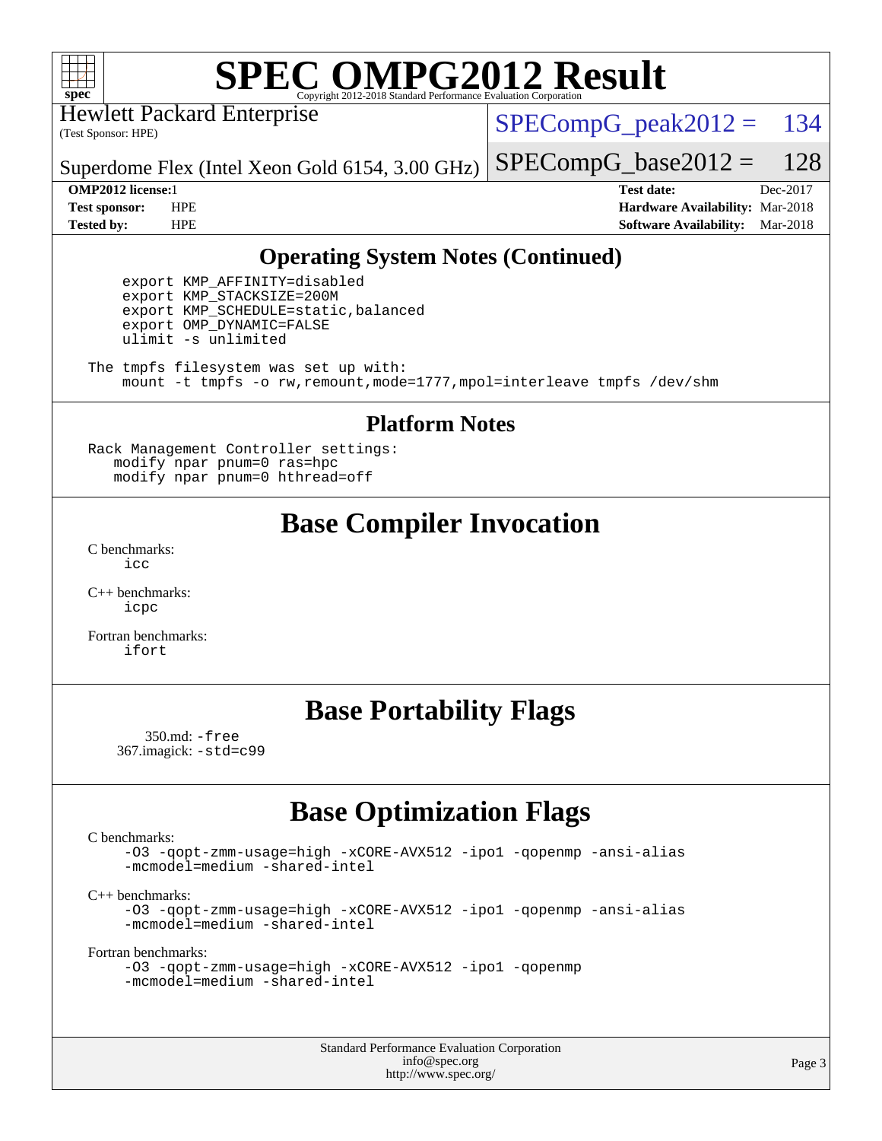

Hewlett Packard Enterprise

(Test Sponsor: HPE)

 $SPECompG<sub>peak2012</sub> = 134$ 

 $SPECompG_base2012 = 128$  $SPECompG_base2012 = 128$ 

Superdome Flex (Intel Xeon Gold 6154, 3.00 GHz)

**[Tested by:](http://www.spec.org/auto/omp2012/Docs/result-fields.html#Testedby)** HPE **[Software Availability:](http://www.spec.org/auto/omp2012/Docs/result-fields.html#SoftwareAvailability)** Mar-2018

**[OMP2012 license:](http://www.spec.org/auto/omp2012/Docs/result-fields.html#OMP2012license)**1 **[Test date:](http://www.spec.org/auto/omp2012/Docs/result-fields.html#Testdate)** Dec-2017 **[Test sponsor:](http://www.spec.org/auto/omp2012/Docs/result-fields.html#Testsponsor)** HPE **[Hardware Availability:](http://www.spec.org/auto/omp2012/Docs/result-fields.html#HardwareAvailability)** Mar-2018

## **[Operating System Notes \(Continued\)](http://www.spec.org/auto/omp2012/Docs/result-fields.html#OperatingSystemNotes)**

 export KMP\_AFFINITY=disabled export KMP\_STACKSIZE=200M export KMP\_SCHEDULE=static,balanced export OMP\_DYNAMIC=FALSE ulimit -s unlimited

The tmpfs filesystem was set up with: mount -t tmpfs -o rw,remount,mode=1777,mpol=interleave tmpfs /dev/shm

#### **[Platform Notes](http://www.spec.org/auto/omp2012/Docs/result-fields.html#PlatformNotes)**

Rack Management Controller settings: modify npar pnum=0 ras=hpc modify npar pnum=0 hthread=off

# **[Base Compiler Invocation](http://www.spec.org/auto/omp2012/Docs/result-fields.html#BaseCompilerInvocation)**

[C benchmarks](http://www.spec.org/auto/omp2012/Docs/result-fields.html#Cbenchmarks):  $i$ 

[C++ benchmarks:](http://www.spec.org/auto/omp2012/Docs/result-fields.html#CXXbenchmarks) [icpc](http://www.spec.org/omp2012/results/res2018q1/omp2012-20171219-00138.flags.html#user_CXXbase_intel_icpc_2d899f8d163502b12eb4a60069f80c1c)

[Fortran benchmarks](http://www.spec.org/auto/omp2012/Docs/result-fields.html#Fortranbenchmarks): [ifort](http://www.spec.org/omp2012/results/res2018q1/omp2012-20171219-00138.flags.html#user_FCbase_intel_ifort_8a5e5e06b19a251bdeaf8fdab5d62f20)

## **[Base Portability Flags](http://www.spec.org/auto/omp2012/Docs/result-fields.html#BasePortabilityFlags)**

 350.md: [-free](http://www.spec.org/omp2012/results/res2018q1/omp2012-20171219-00138.flags.html#user_baseFPORTABILITY350_md_free) 367.imagick: [-std=c99](http://www.spec.org/omp2012/results/res2018q1/omp2012-20171219-00138.flags.html#user_baseCPORTABILITY367_imagick_std_2ec6533b6e06f1c4a6c9b78d9e9cde24)

## **[Base Optimization Flags](http://www.spec.org/auto/omp2012/Docs/result-fields.html#BaseOptimizationFlags)**

[C benchmarks](http://www.spec.org/auto/omp2012/Docs/result-fields.html#Cbenchmarks):

[-O3](http://www.spec.org/omp2012/results/res2018q1/omp2012-20171219-00138.flags.html#user_CCbase_f-O3) [-qopt-zmm-usage=high](http://www.spec.org/omp2012/results/res2018q1/omp2012-20171219-00138.flags.html#user_CCbase_f-qopt-zmm-usage_213d857421e75f2db2f896f7900465fb) [-xCORE-AVX512](http://www.spec.org/omp2012/results/res2018q1/omp2012-20171219-00138.flags.html#user_CCbase_f-xCORE-AVX512) [-ipo1](http://www.spec.org/omp2012/results/res2018q1/omp2012-20171219-00138.flags.html#user_CCbase_f-ipo_116921c2575d566c213f1dd5e08493d2) [-qopenmp](http://www.spec.org/omp2012/results/res2018q1/omp2012-20171219-00138.flags.html#user_CCbase_f-qopenmp) [-ansi-alias](http://www.spec.org/omp2012/results/res2018q1/omp2012-20171219-00138.flags.html#user_CCbase_f-ansi-alias) [-mcmodel=medium](http://www.spec.org/omp2012/results/res2018q1/omp2012-20171219-00138.flags.html#user_CCbase_f-mcmodel_3a41622424bdd074c4f0f2d2f224c7e5) [-shared-intel](http://www.spec.org/omp2012/results/res2018q1/omp2012-20171219-00138.flags.html#user_CCbase_f-shared-intel)

[C++ benchmarks:](http://www.spec.org/auto/omp2012/Docs/result-fields.html#CXXbenchmarks)

[-O3](http://www.spec.org/omp2012/results/res2018q1/omp2012-20171219-00138.flags.html#user_CXXbase_f-O3) [-qopt-zmm-usage=high](http://www.spec.org/omp2012/results/res2018q1/omp2012-20171219-00138.flags.html#user_CXXbase_f-qopt-zmm-usage_213d857421e75f2db2f896f7900465fb) [-xCORE-AVX512](http://www.spec.org/omp2012/results/res2018q1/omp2012-20171219-00138.flags.html#user_CXXbase_f-xCORE-AVX512) [-ipo1](http://www.spec.org/omp2012/results/res2018q1/omp2012-20171219-00138.flags.html#user_CXXbase_f-ipo_116921c2575d566c213f1dd5e08493d2) [-qopenmp](http://www.spec.org/omp2012/results/res2018q1/omp2012-20171219-00138.flags.html#user_CXXbase_f-qopenmp) [-ansi-alias](http://www.spec.org/omp2012/results/res2018q1/omp2012-20171219-00138.flags.html#user_CXXbase_f-ansi-alias) [-mcmodel=medium](http://www.spec.org/omp2012/results/res2018q1/omp2012-20171219-00138.flags.html#user_CXXbase_f-mcmodel_3a41622424bdd074c4f0f2d2f224c7e5) [-shared-intel](http://www.spec.org/omp2012/results/res2018q1/omp2012-20171219-00138.flags.html#user_CXXbase_f-shared-intel)

[Fortran benchmarks](http://www.spec.org/auto/omp2012/Docs/result-fields.html#Fortranbenchmarks):

```
-O3 -qopt-zmm-usage=high -xCORE-AVX512 -ipo1 -qopenmp
-mcmodel=medium -shared-intel
```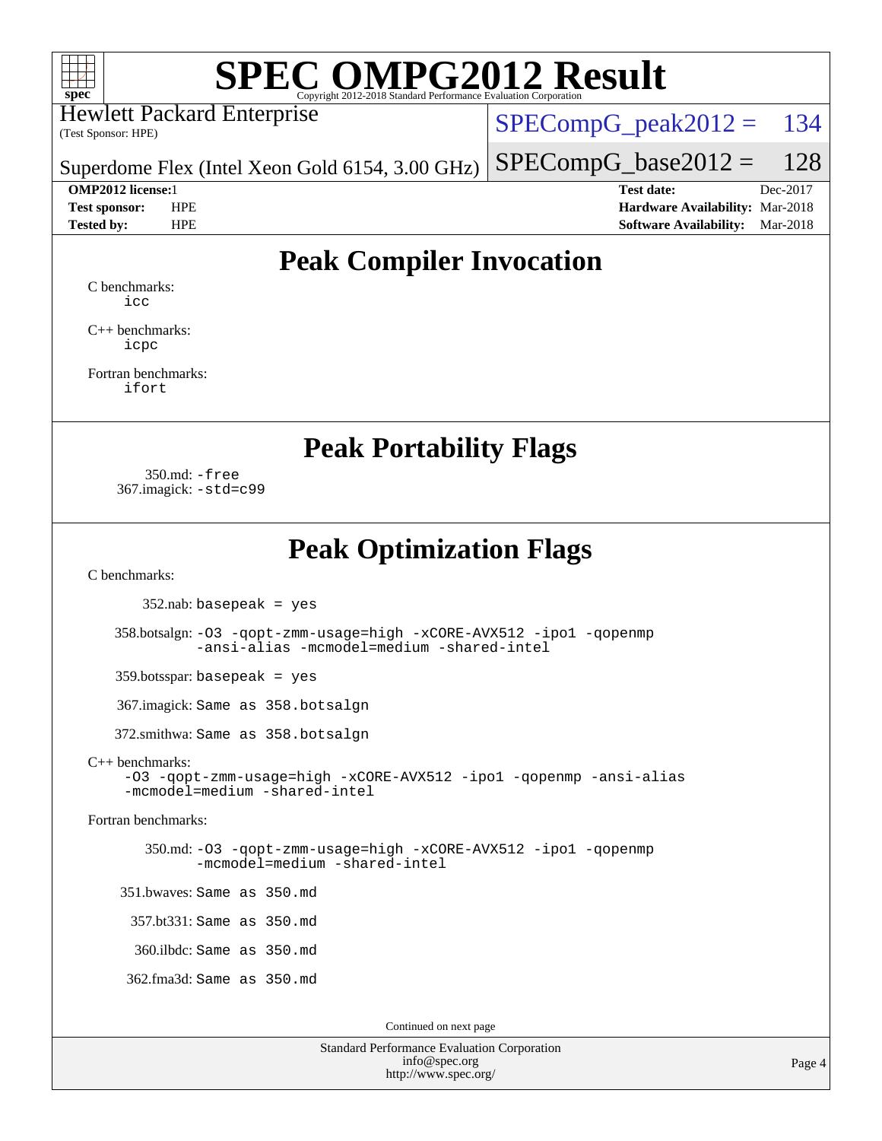

Hewlett Packard Enterprise

(Test Sponsor: HPE)

 $SPECompG<sub>peak2012</sub> = 134$ 

 $SPECompG_base2012 = 128$  $SPECompG_base2012 = 128$ 

Superdome Flex (Intel Xeon Gold 6154, 3.00 GHz)

**[OMP2012 license:](http://www.spec.org/auto/omp2012/Docs/result-fields.html#OMP2012license)**1 **[Test date:](http://www.spec.org/auto/omp2012/Docs/result-fields.html#Testdate)** Dec-2017 **[Test sponsor:](http://www.spec.org/auto/omp2012/Docs/result-fields.html#Testsponsor)** HPE **[Hardware Availability:](http://www.spec.org/auto/omp2012/Docs/result-fields.html#HardwareAvailability)** Mar-2018 **[Tested by:](http://www.spec.org/auto/omp2012/Docs/result-fields.html#Testedby)** HPE **[Software Availability:](http://www.spec.org/auto/omp2012/Docs/result-fields.html#SoftwareAvailability)** Mar-2018

# **[Peak Compiler Invocation](http://www.spec.org/auto/omp2012/Docs/result-fields.html#PeakCompilerInvocation)**

[C benchmarks](http://www.spec.org/auto/omp2012/Docs/result-fields.html#Cbenchmarks): [icc](http://www.spec.org/omp2012/results/res2018q1/omp2012-20171219-00138.flags.html#user_CCpeak_intel_icc_a87c68a857bc5ec5362391a49d3a37a6)

[C++ benchmarks:](http://www.spec.org/auto/omp2012/Docs/result-fields.html#CXXbenchmarks) [icpc](http://www.spec.org/omp2012/results/res2018q1/omp2012-20171219-00138.flags.html#user_CXXpeak_intel_icpc_2d899f8d163502b12eb4a60069f80c1c)

[Fortran benchmarks](http://www.spec.org/auto/omp2012/Docs/result-fields.html#Fortranbenchmarks): [ifort](http://www.spec.org/omp2012/results/res2018q1/omp2012-20171219-00138.flags.html#user_FCpeak_intel_ifort_8a5e5e06b19a251bdeaf8fdab5d62f20)

**[Peak Portability Flags](http://www.spec.org/auto/omp2012/Docs/result-fields.html#PeakPortabilityFlags)**

 350.md: [-free](http://www.spec.org/omp2012/results/res2018q1/omp2012-20171219-00138.flags.html#user_peakFPORTABILITY350_md_free) 367.imagick: [-std=c99](http://www.spec.org/omp2012/results/res2018q1/omp2012-20171219-00138.flags.html#user_peakCPORTABILITY367_imagick_std_2ec6533b6e06f1c4a6c9b78d9e9cde24)

**[Peak Optimization Flags](http://www.spec.org/auto/omp2012/Docs/result-fields.html#PeakOptimizationFlags)**

[C benchmarks](http://www.spec.org/auto/omp2012/Docs/result-fields.html#Cbenchmarks):

 $352$ .nab: basepeak = yes

 358.botsalgn: [-O3](http://www.spec.org/omp2012/results/res2018q1/omp2012-20171219-00138.flags.html#user_peakCOPTIMIZE358_botsalgn_f-O3) [-qopt-zmm-usage=high](http://www.spec.org/omp2012/results/res2018q1/omp2012-20171219-00138.flags.html#user_peakCOPTIMIZE358_botsalgn_f-qopt-zmm-usage_213d857421e75f2db2f896f7900465fb) [-xCORE-AVX512](http://www.spec.org/omp2012/results/res2018q1/omp2012-20171219-00138.flags.html#user_peakCOPTIMIZE358_botsalgn_f-xCORE-AVX512) [-ipo1](http://www.spec.org/omp2012/results/res2018q1/omp2012-20171219-00138.flags.html#user_peakCOPTIMIZE358_botsalgn_f-ipo_116921c2575d566c213f1dd5e08493d2) [-qopenmp](http://www.spec.org/omp2012/results/res2018q1/omp2012-20171219-00138.flags.html#user_peakCOPTIMIZE358_botsalgn_f-qopenmp) [-ansi-alias](http://www.spec.org/omp2012/results/res2018q1/omp2012-20171219-00138.flags.html#user_peakCOPTIMIZE358_botsalgn_f-ansi-alias) [-mcmodel=medium](http://www.spec.org/omp2012/results/res2018q1/omp2012-20171219-00138.flags.html#user_peakCOPTIMIZE358_botsalgn_f-mcmodel_3a41622424bdd074c4f0f2d2f224c7e5) [-shared-intel](http://www.spec.org/omp2012/results/res2018q1/omp2012-20171219-00138.flags.html#user_peakCOPTIMIZE358_botsalgn_f-shared-intel)

359.botsspar: basepeak = yes

367.imagick: Same as 358.botsalgn

372.smithwa: Same as 358.botsalgn

#### [C++ benchmarks:](http://www.spec.org/auto/omp2012/Docs/result-fields.html#CXXbenchmarks)

[-O3](http://www.spec.org/omp2012/results/res2018q1/omp2012-20171219-00138.flags.html#user_CXXpeak_f-O3) [-qopt-zmm-usage=high](http://www.spec.org/omp2012/results/res2018q1/omp2012-20171219-00138.flags.html#user_CXXpeak_f-qopt-zmm-usage_213d857421e75f2db2f896f7900465fb) [-xCORE-AVX512](http://www.spec.org/omp2012/results/res2018q1/omp2012-20171219-00138.flags.html#user_CXXpeak_f-xCORE-AVX512) [-ipo1](http://www.spec.org/omp2012/results/res2018q1/omp2012-20171219-00138.flags.html#user_CXXpeak_f-ipo_116921c2575d566c213f1dd5e08493d2) [-qopenmp](http://www.spec.org/omp2012/results/res2018q1/omp2012-20171219-00138.flags.html#user_CXXpeak_f-qopenmp) [-ansi-alias](http://www.spec.org/omp2012/results/res2018q1/omp2012-20171219-00138.flags.html#user_CXXpeak_f-ansi-alias) [-mcmodel=medium](http://www.spec.org/omp2012/results/res2018q1/omp2012-20171219-00138.flags.html#user_CXXpeak_f-mcmodel_3a41622424bdd074c4f0f2d2f224c7e5) [-shared-intel](http://www.spec.org/omp2012/results/res2018q1/omp2012-20171219-00138.flags.html#user_CXXpeak_f-shared-intel)

[Fortran benchmarks](http://www.spec.org/auto/omp2012/Docs/result-fields.html#Fortranbenchmarks):

 350.md: [-O3](http://www.spec.org/omp2012/results/res2018q1/omp2012-20171219-00138.flags.html#user_peakFOPTIMIZE350_md_f-O3) [-qopt-zmm-usage=high](http://www.spec.org/omp2012/results/res2018q1/omp2012-20171219-00138.flags.html#user_peakFOPTIMIZE350_md_f-qopt-zmm-usage_213d857421e75f2db2f896f7900465fb) [-xCORE-AVX512](http://www.spec.org/omp2012/results/res2018q1/omp2012-20171219-00138.flags.html#user_peakFOPTIMIZE350_md_f-xCORE-AVX512) [-ipo1](http://www.spec.org/omp2012/results/res2018q1/omp2012-20171219-00138.flags.html#user_peakFOPTIMIZE350_md_f-ipo_116921c2575d566c213f1dd5e08493d2) [-qopenmp](http://www.spec.org/omp2012/results/res2018q1/omp2012-20171219-00138.flags.html#user_peakFOPTIMIZE350_md_f-qopenmp) [-mcmodel=medium](http://www.spec.org/omp2012/results/res2018q1/omp2012-20171219-00138.flags.html#user_peakFOPTIMIZE350_md_f-mcmodel_3a41622424bdd074c4f0f2d2f224c7e5) [-shared-intel](http://www.spec.org/omp2012/results/res2018q1/omp2012-20171219-00138.flags.html#user_peakFOPTIMIZE350_md_f-shared-intel)

 351.bwaves: Same as 350.md 357.bt331: Same as 350.md

360.ilbdc: Same as 350.md

362.fma3d: Same as 350.md

Continued on next page